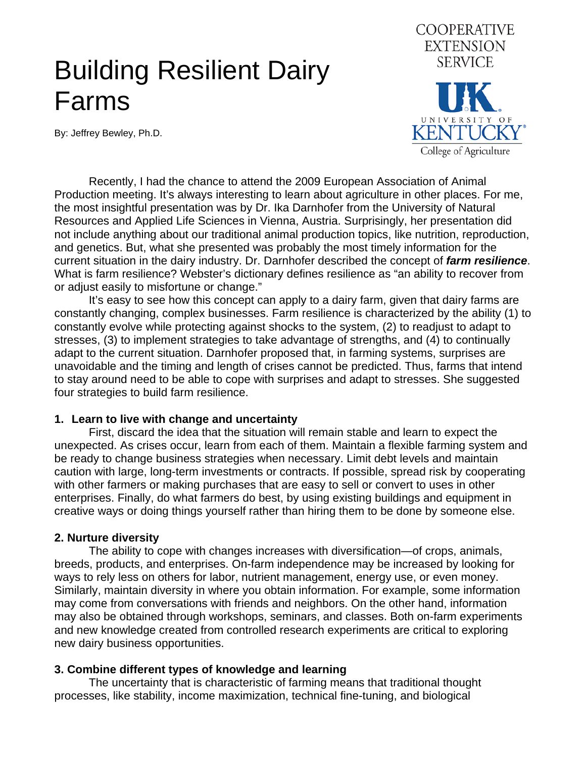# Building Resilient Dairy Farms

By: Jeffrey Bewley, Ph.D.



 Recently, I had the chance to attend the 2009 European Association of Animal Production meeting. It's always interesting to learn about agriculture in other places. For me, the most insightful presentation was by Dr. Ika Darnhofer from the University of Natural Resources and Applied Life Sciences in Vienna, Austria. Surprisingly, her presentation did not include anything about our traditional animal production topics, like nutrition, reproduction, and genetics. But, what she presented was probably the most timely information for the current situation in the dairy industry. Dr. Darnhofer described the concept of *farm resilience*. What is farm resilience? Webster's dictionary defines resilience as "an ability to recover from or adjust easily to misfortune or change."

 It's easy to see how this concept can apply to a dairy farm, given that dairy farms are constantly changing, complex businesses. Farm resilience is characterized by the ability (1) to constantly evolve while protecting against shocks to the system, (2) to readjust to adapt to stresses, (3) to implement strategies to take advantage of strengths, and (4) to continually adapt to the current situation. Darnhofer proposed that, in farming systems, surprises are unavoidable and the timing and length of crises cannot be predicted. Thus, farms that intend to stay around need to be able to cope with surprises and adapt to stresses. She suggested four strategies to build farm resilience.

#### **1. Learn to live with change and uncertainty**

First, discard the idea that the situation will remain stable and learn to expect the unexpected. As crises occur, learn from each of them. Maintain a flexible farming system and be ready to change business strategies when necessary. Limit debt levels and maintain caution with large, long-term investments or contracts. If possible, spread risk by cooperating with other farmers or making purchases that are easy to sell or convert to uses in other enterprises. Finally, do what farmers do best, by using existing buildings and equipment in creative ways or doing things yourself rather than hiring them to be done by someone else.

### **2. Nurture diversity**

The ability to cope with changes increases with diversification—of crops, animals, breeds, products, and enterprises. On-farm independence may be increased by looking for ways to rely less on others for labor, nutrient management, energy use, or even money. Similarly, maintain diversity in where you obtain information. For example, some information may come from conversations with friends and neighbors. On the other hand, information may also be obtained through workshops, seminars, and classes. Both on-farm experiments and new knowledge created from controlled research experiments are critical to exploring new dairy business opportunities.

#### **3. Combine different types of knowledge and learning**

The uncertainty that is characteristic of farming means that traditional thought processes, like stability, income maximization, technical fine-tuning, and biological